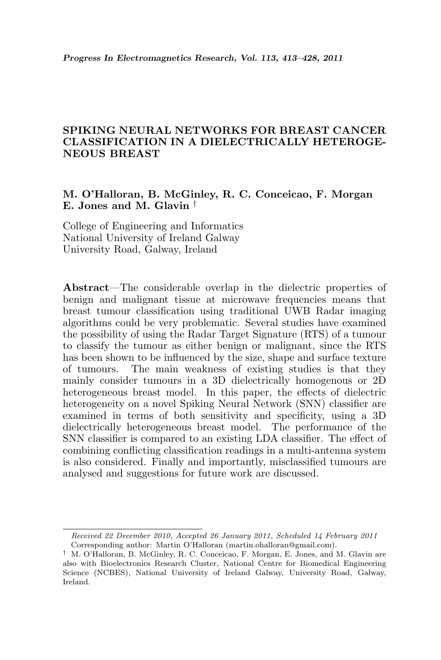## SPIKING NEURAL NETWORKS FOR BREAST CANCER CLASSIFICATION IN A DIELECTRICALLY HETEROGE-NEOUS BREAST

## M. O'Halloran, B. McGinley, R. C. Conceicao, F. Morgan E. Jones and M. Glavin  $^{\dagger}$

College of Engineering and Informatics National University of Ireland Galway University Road, Galway, Ireland

Abstract—The considerable overlap in the dielectric properties of benign and malignant tissue at microwave frequencies means that breast tumour classification using traditional UWB Radar imaging algorithms could be very problematic. Several studies have examined the possibility of using the Radar Target Signature (RTS) of a tumour to classify the tumour as either benign or malignant, since the RTS has been shown to be influenced by the size, shape and surface texture of tumours. The main weakness of existing studies is that they mainly consider tumours in a 3D dielectrically homogenous or 2D heterogeneous breast model. In this paper, the effects of dielectric heterogeneity on a novel Spiking Neural Network (SNN) classifier are examined in terms of both sensitivity and specificity, using a 3D dielectrically heterogeneous breast model. The performance of the SNN classifier is compared to an existing LDA classifier. The effect of combining conflicting classification readings in a multi-antenna system is also considered. Finally and importantly, misclassified tumours are analysed and suggestions for future work are discussed.

Received 22 December 2010, Accepted 26 January 2011, Scheduled 14 February 2011 Corresponding author: Martin O'Halloran (martin.ohalloran@gmail.com).

<sup>†</sup> M. O'Halloran, B. McGinley, R. C. Conceicao, F. Morgan, E. Jones, and M. Glavin are also with Bioelectronics Research Cluster, National Centre for Biomedical Engineering Science (NCBES), National University of Ireland Galway, University Road, Galway, Ireland.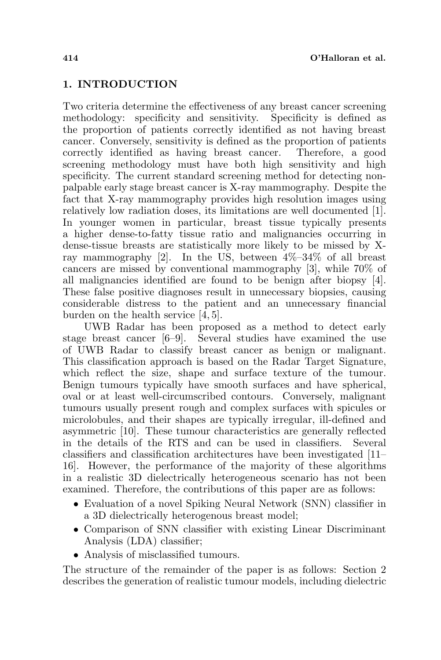## 1. INTRODUCTION

Two criteria determine the effectiveness of any breast cancer screening methodology: specificity and sensitivity. Specificity is defined as the proportion of patients correctly identified as not having breast cancer. Conversely, sensitivity is defined as the proportion of patients correctly identified as having breast cancer. Therefore, a good screening methodology must have both high sensitivity and high specificity. The current standard screening method for detecting nonpalpable early stage breast cancer is X-ray mammography. Despite the fact that X-ray mammography provides high resolution images using relatively low radiation doses, its limitations are well documented [1]. In younger women in particular, breast tissue typically presents a higher dense-to-fatty tissue ratio and malignancies occurring in dense-tissue breasts are statistically more likely to be missed by Xray mammography [2]. In the US, between 4%–34% of all breast cancers are missed by conventional mammography [3], while 70% of all malignancies identified are found to be benign after biopsy [4]. These false positive diagnoses result in unnecessary biopsies, causing considerable distress to the patient and an unnecessary financial burden on the health service [4, 5].

UWB Radar has been proposed as a method to detect early stage breast cancer [6–9]. Several studies have examined the use of UWB Radar to classify breast cancer as benign or malignant. This classification approach is based on the Radar Target Signature, which reflect the size, shape and surface texture of the tumour. Benign tumours typically have smooth surfaces and have spherical, oval or at least well-circumscribed contours. Conversely, malignant tumours usually present rough and complex surfaces with spicules or microlobules, and their shapes are typically irregular, ill-defined and asymmetric [10]. These tumour characteristics are generally reflected in the details of the RTS and can be used in classifiers. Several classifiers and classification architectures have been investigated [11– 16]. However, the performance of the majority of these algorithms in a realistic 3D dielectrically heterogeneous scenario has not been examined. Therefore, the contributions of this paper are as follows:

- Evaluation of a novel Spiking Neural Network (SNN) classifier in a 3D dielectrically heterogenous breast model;
- Comparison of SNN classifier with existing Linear Discriminant Analysis (LDA) classifier;
- Analysis of misclassified tumours.

The structure of the remainder of the paper is as follows: Section 2 describes the generation of realistic tumour models, including dielectric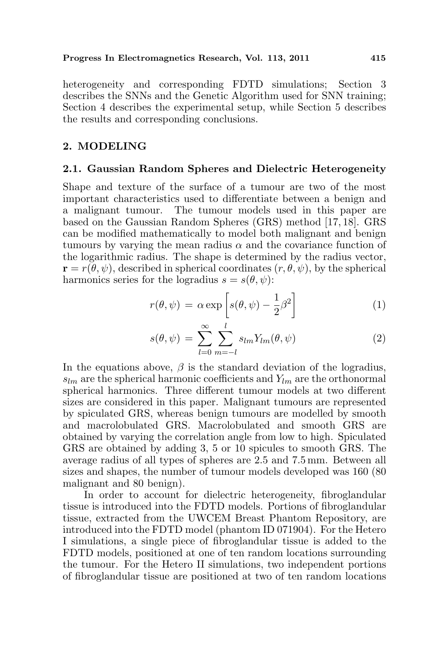heterogeneity and corresponding FDTD simulations; Section 3 describes the SNNs and the Genetic Algorithm used for SNN training; Section 4 describes the experimental setup, while Section 5 describes the results and corresponding conclusions.

## 2. MODELING

#### 2.1. Gaussian Random Spheres and Dielectric Heterogeneity

Shape and texture of the surface of a tumour are two of the most important characteristics used to differentiate between a benign and a malignant tumour. The tumour models used in this paper are based on the Gaussian Random Spheres (GRS) method [17, 18]. GRS can be modified mathematically to model both malignant and benign tumours by varying the mean radius  $\alpha$  and the covariance function of the logarithmic radius. The shape is determined by the radius vector,  $\mathbf{r} = r(\theta, \psi)$ , described in spherical coordinates  $(r, \theta, \psi)$ , by the spherical harmonics series for the logradius  $s = s(\theta, \psi)$ :

$$
r(\theta, \psi) = \alpha \exp\left[s(\theta, \psi) - \frac{1}{2}\beta^2\right]
$$
 (1)

$$
s(\theta, \psi) = \sum_{l=0}^{\infty} \sum_{m=-l}^{l} s_{lm} Y_{lm}(\theta, \psi)
$$
 (2)

In the equations above,  $\beta$  is the standard deviation of the logradius,  $s_{lm}$  are the spherical harmonic coefficients and  $Y_{lm}$  are the orthonormal spherical harmonics. Three different tumour models at two different sizes are considered in this paper. Malignant tumours are represented by spiculated GRS, whereas benign tumours are modelled by smooth and macrolobulated GRS. Macrolobulated and smooth GRS are obtained by varying the correlation angle from low to high. Spiculated GRS are obtained by adding 3, 5 or 10 spicules to smooth GRS. The average radius of all types of spheres are 2.5 and 7.5 mm. Between all sizes and shapes, the number of tumour models developed was 160 (80 malignant and 80 benign).

In order to account for dielectric heterogeneity, fibroglandular tissue is introduced into the FDTD models. Portions of fibroglandular tissue, extracted from the UWCEM Breast Phantom Repository, are introduced into the FDTD model (phantom ID 071904). For the Hetero I simulations, a single piece of fibroglandular tissue is added to the FDTD models, positioned at one of ten random locations surrounding the tumour. For the Hetero II simulations, two independent portions of fibroglandular tissue are positioned at two of ten random locations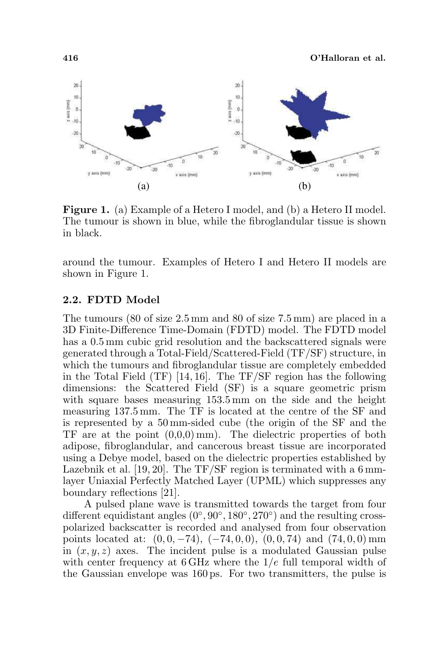

Figure 1. (a) Example of a Hetero I model, and (b) a Hetero II model. The tumour is shown in blue, while the fibroglandular tissue is shown in black.

around the tumour. Examples of Hetero I and Hetero II models are shown in Figure 1.

### 2.2. FDTD Model

The tumours (80 of size 2.5 mm and 80 of size 7.5 mm) are placed in a 3D Finite-Difference Time-Domain (FDTD) model. The FDTD model has a 0.5 mm cubic grid resolution and the backscattered signals were generated through a Total-Field/Scattered-Field (TF/SF) structure, in which the tumours and fibroglandular tissue are completely embedded in the Total Field (TF) [14, 16]. The TF/SF region has the following dimensions: the Scattered Field (SF) is a square geometric prism with square bases measuring  $153.5 \,\mathrm{mm}$  on the side and the height measuring 137.5 mm. The TF is located at the centre of the SF and is represented by a 50 mm-sided cube (the origin of the SF and the TF are at the point  $(0,0,0)$  mm). The dielectric properties of both adipose, fibroglandular, and cancerous breast tissue are incorporated using a Debye model, based on the dielectric properties established by Lazebnik et al. [19, 20]. The TF/SF region is terminated with a 6 mmlayer Uniaxial Perfectly Matched Layer (UPML) which suppresses any boundary reflections [21].

A pulsed plane wave is transmitted towards the target from four different equidistant angles  $(0^{\circ}, 90^{\circ}, 180^{\circ}, 270^{\circ})$  and the resulting crosspolarized backscatter is recorded and analysed from four observation points located at:  $(0, 0, -74)$ ,  $(-74, 0, 0)$ ,  $(0, 0, 74)$  and  $(74, 0, 0)$  mm in  $(x, y, z)$  axes. The incident pulse is a modulated Gaussian pulse with center frequency at  $6 \text{ GHz}$  where the  $1/e$  full temporal width of the Gaussian envelope was 160 ps. For two transmitters, the pulse is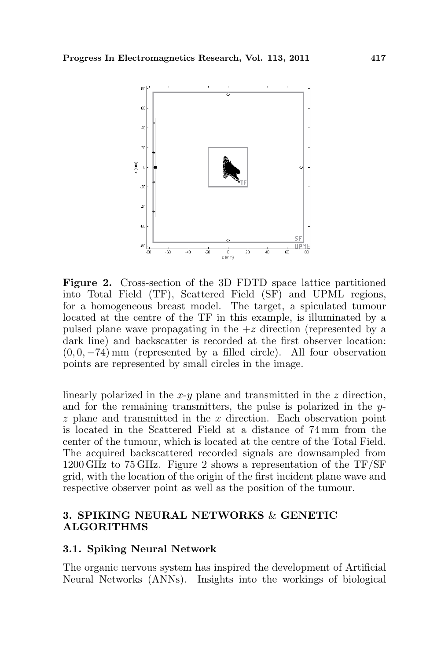

Figure 2. Cross-section of the 3D FDTD space lattice partitioned into Total Field (TF), Scattered Field (SF) and UPML regions, for a homogeneous breast model. The target, a spiculated tumour located at the centre of the TF in this example, is illuminated by a pulsed plane wave propagating in the  $+z$  direction (represented by a dark line) and backscatter is recorded at the first observer location:  $(0, 0, -74)$  mm (represented by a filled circle). All four observation points are represented by small circles in the image.

linearly polarized in the  $x-y$  plane and transmitted in the  $z$  direction, and for the remaining transmitters, the pulse is polarized in the y $z$  plane and transmitted in the  $x$  direction. Each observation point is located in the Scattered Field at a distance of 74 mm from the center of the tumour, which is located at the centre of the Total Field. The acquired backscattered recorded signals are downsampled from 1200 GHz to 75 GHz. Figure 2 shows a representation of the TF/SF grid, with the location of the origin of the first incident plane wave and respective observer point as well as the position of the tumour.

### 3. SPIKING NEURAL NETWORKS & GENETIC ALGORITHMS

#### 3.1. Spiking Neural Network

The organic nervous system has inspired the development of Artificial Neural Networks (ANNs). Insights into the workings of biological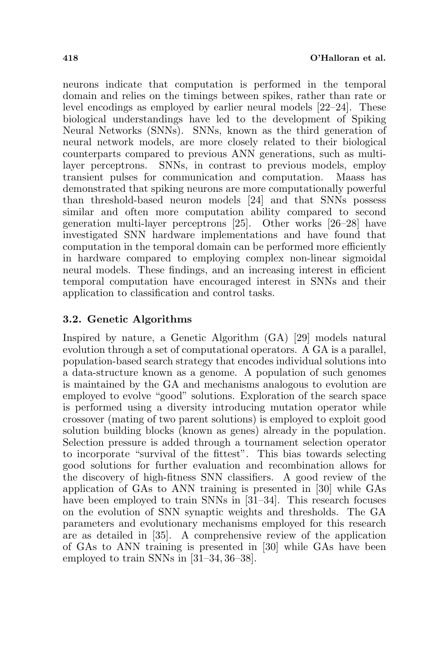neurons indicate that computation is performed in the temporal domain and relies on the timings between spikes, rather than rate or level encodings as employed by earlier neural models [22–24]. These biological understandings have led to the development of Spiking Neural Networks (SNNs). SNNs, known as the third generation of neural network models, are more closely related to their biological counterparts compared to previous ANN generations, such as multilayer perceptrons. SNNs, in contrast to previous models, employ transient pulses for communication and computation. Maass has demonstrated that spiking neurons are more computationally powerful than threshold-based neuron models [24] and that SNNs possess similar and often more computation ability compared to second generation multi-layer perceptrons [25]. Other works [26–28] have investigated SNN hardware implementations and have found that computation in the temporal domain can be performed more efficiently in hardware compared to employing complex non-linear sigmoidal neural models. These findings, and an increasing interest in efficient temporal computation have encouraged interest in SNNs and their application to classification and control tasks.

# 3.2. Genetic Algorithms

Inspired by nature, a Genetic Algorithm (GA) [29] models natural evolution through a set of computational operators. A GA is a parallel, population-based search strategy that encodes individual solutions into a data-structure known as a genome. A population of such genomes is maintained by the GA and mechanisms analogous to evolution are employed to evolve "good" solutions. Exploration of the search space is performed using a diversity introducing mutation operator while crossover (mating of two parent solutions) is employed to exploit good solution building blocks (known as genes) already in the population. Selection pressure is added through a tournament selection operator to incorporate "survival of the fittest". This bias towards selecting good solutions for further evaluation and recombination allows for the discovery of high-fitness SNN classifiers. A good review of the application of GAs to ANN training is presented in [30] while GAs have been employed to train SNNs in [31–34]. This research focuses on the evolution of SNN synaptic weights and thresholds. The GA parameters and evolutionary mechanisms employed for this research are as detailed in [35]. A comprehensive review of the application of GAs to ANN training is presented in [30] while GAs have been employed to train SNNs in [31–34, 36–38].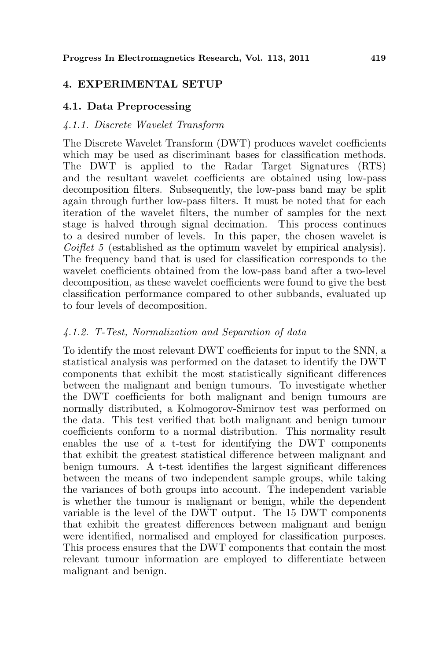### 4. EXPERIMENTAL SETUP

#### 4.1. Data Preprocessing

#### 4.1.1. Discrete Wavelet Transform

The Discrete Wavelet Transform (DWT) produces wavelet coefficients which may be used as discriminant bases for classification methods. The DWT is applied to the Radar Target Signatures (RTS) and the resultant wavelet coefficients are obtained using low-pass decomposition filters. Subsequently, the low-pass band may be split again through further low-pass filters. It must be noted that for each iteration of the wavelet filters, the number of samples for the next stage is halved through signal decimation. This process continues to a desired number of levels. In this paper, the chosen wavelet is Coiflet 5 (established as the optimum wavelet by empirical analysis). The frequency band that is used for classification corresponds to the wavelet coefficients obtained from the low-pass band after a two-level decomposition, as these wavelet coefficients were found to give the best classification performance compared to other subbands, evaluated up to four levels of decomposition.

#### 4.1.2. T-Test, Normalization and Separation of data

To identify the most relevant DWT coefficients for input to the SNN, a statistical analysis was performed on the dataset to identify the DWT components that exhibit the most statistically significant differences between the malignant and benign tumours. To investigate whether the DWT coefficients for both malignant and benign tumours are normally distributed, a Kolmogorov-Smirnov test was performed on the data. This test verified that both malignant and benign tumour coefficients conform to a normal distribution. This normality result enables the use of a t-test for identifying the DWT components that exhibit the greatest statistical difference between malignant and benign tumours. A t-test identifies the largest significant differences between the means of two independent sample groups, while taking the variances of both groups into account. The independent variable is whether the tumour is malignant or benign, while the dependent variable is the level of the DWT output. The 15 DWT components that exhibit the greatest differences between malignant and benign were identified, normalised and employed for classification purposes. This process ensures that the DWT components that contain the most relevant tumour information are employed to differentiate between malignant and benign.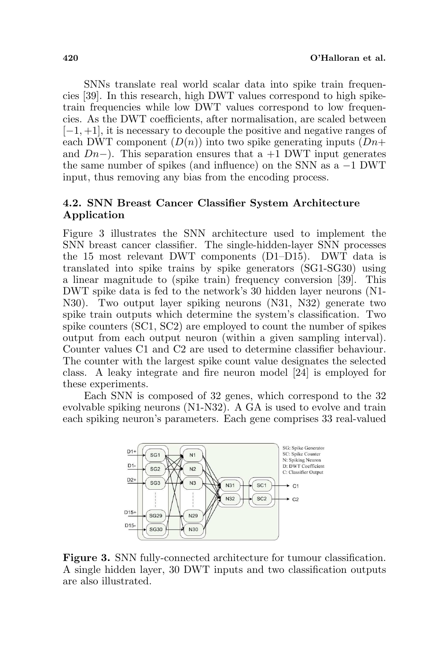SNNs translate real world scalar data into spike train frequencies [39]. In this research, high DWT values correspond to high spiketrain frequencies while low DWT values correspond to low frequencies. As the DWT coefficients, after normalisation, are scaled between  $[-1, +1]$ , it is necessary to decouple the positive and negative ranges of each DWT component  $(D(n))$  into two spike generating inputs  $(Dn+$ and  $Dn-$ ). This separation ensures that a +1 DWT input generates the same number of spikes (and influence) on the SNN as a −1 DWT input, thus removing any bias from the encoding process.

## 4.2. SNN Breast Cancer Classifier System Architecture Application

Figure 3 illustrates the SNN architecture used to implement the SNN breast cancer classifier. The single-hidden-layer SNN processes the 15 most relevant DWT components (D1–D15). DWT data is translated into spike trains by spike generators (SG1-SG30) using a linear magnitude to (spike train) frequency conversion [39]. This DWT spike data is fed to the network's 30 hidden layer neurons (N1- N30). Two output layer spiking neurons (N31, N32) generate two spike train outputs which determine the system's classification. Two spike counters (SC1, SC2) are employed to count the number of spikes output from each output neuron (within a given sampling interval). Counter values C1 and C2 are used to determine classifier behaviour. The counter with the largest spike count value designates the selected class. A leaky integrate and fire neuron model [24] is employed for these experiments.

Each SNN is composed of 32 genes, which correspond to the 32 evolvable spiking neurons (N1-N32). A GA is used to evolve and train each spiking neuron's parameters. Each gene comprises 33 real-valued



Figure 3. SNN fully-connected architecture for tumour classification. A single hidden layer, 30 DWT inputs and two classification outputs are also illustrated.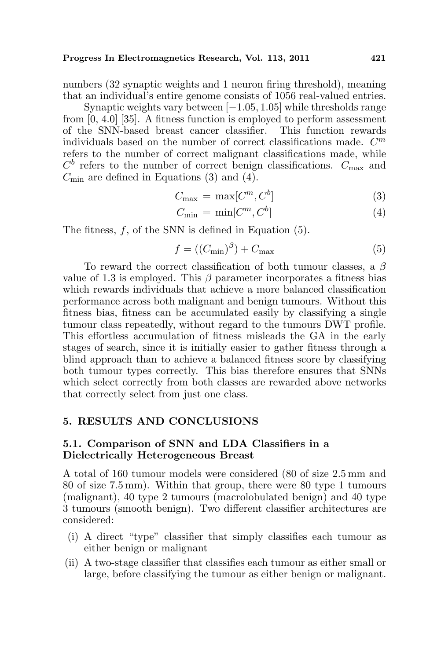Progress In Electromagnetics Research, Vol. 113, 2011 421

numbers (32 synaptic weights and 1 neuron firing threshold), meaning that an individual's entire genome consists of 1056 real-valued entries.

Synaptic weights vary between  $[-1.05, 1.05]$  while thresholds range from [0, 4.0] [35]. A fitness function is employed to perform assessment of the SNN-based breast cancer classifier. This function rewards individuals based on the number of correct classifications made.  $C<sup>m</sup>$ refers to the number of correct malignant classifications made, while  $C<sup>b</sup>$  refers to the number of correct benign classifications.  $C_{\text{max}}$  and  $C_{\text{min}}$  are defined in Equations (3) and (4).

$$
C_{\max} = \max[C^m, C^b] \tag{3}
$$

$$
C_{\min} = \min[C^m, C^b] \tag{4}
$$

The fitness,  $f$ , of the SNN is defined in Equation  $(5)$ .

$$
f = ((C_{\min})^{\beta}) + C_{\max} \tag{5}
$$

To reward the correct classification of both tumour classes, a  $\beta$ value of 1.3 is employed. This  $\beta$  parameter incorporates a fitness bias which rewards individuals that achieve a more balanced classification performance across both malignant and benign tumours. Without this fitness bias, fitness can be accumulated easily by classifying a single tumour class repeatedly, without regard to the tumours DWT profile. This effortless accumulation of fitness misleads the GA in the early stages of search, since it is initially easier to gather fitness through a blind approach than to achieve a balanced fitness score by classifying both tumour types correctly. This bias therefore ensures that SNNs which select correctly from both classes are rewarded above networks that correctly select from just one class.

### 5. RESULTS AND CONCLUSIONS

### 5.1. Comparison of SNN and LDA Classifiers in a Dielectrically Heterogeneous Breast

A total of 160 tumour models were considered (80 of size 2.5 mm and 80 of size 7.5 mm). Within that group, there were 80 type 1 tumours (malignant), 40 type 2 tumours (macrolobulated benign) and 40 type 3 tumours (smooth benign). Two different classifier architectures are considered:

- (i) A direct "type" classifier that simply classifies each tumour as either benign or malignant
- (ii) A two-stage classifier that classifies each tumour as either small or large, before classifying the tumour as either benign or malignant.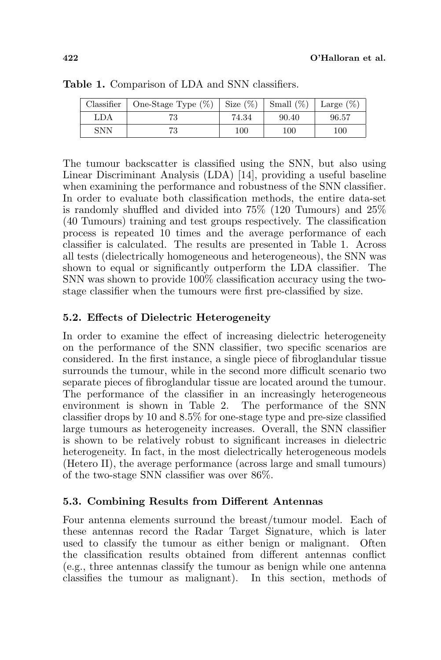| Classifier | One-Stage Type $(\%)$ | $\sin(\%)$ | Small $(\%)$ | Large $(\%)$ |
|------------|-----------------------|------------|--------------|--------------|
| LDA        |                       | 74.34      | 90.40        | 96.57        |
| <b>SNN</b> | 72                    | 100        | 100          | 100          |

Table 1. Comparison of LDA and SNN classifiers.

The tumour backscatter is classified using the SNN, but also using Linear Discriminant Analysis (LDA) [14], providing a useful baseline when examining the performance and robustness of the SNN classifier. In order to evaluate both classification methods, the entire data-set is randomly shuffled and divided into 75% (120 Tumours) and 25% (40 Tumours) training and test groups respectively. The classification process is repeated 10 times and the average performance of each classifier is calculated. The results are presented in Table 1. Across all tests (dielectrically homogeneous and heterogeneous), the SNN was shown to equal or significantly outperform the LDA classifier. The SNN was shown to provide 100% classification accuracy using the twostage classifier when the tumours were first pre-classified by size.

# 5.2. Effects of Dielectric Heterogeneity

In order to examine the effect of increasing dielectric heterogeneity on the performance of the SNN classifier, two specific scenarios are considered. In the first instance, a single piece of fibroglandular tissue surrounds the tumour, while in the second more difficult scenario two separate pieces of fibroglandular tissue are located around the tumour. The performance of the classifier in an increasingly heterogeneous environment is shown in Table 2. The performance of the SNN classifier drops by 10 and 8.5% for one-stage type and pre-size classified large tumours as heterogeneity increases. Overall, the SNN classifier is shown to be relatively robust to significant increases in dielectric heterogeneity. In fact, in the most dielectrically heterogeneous models (Hetero II), the average performance (across large and small tumours) of the two-stage SNN classifier was over 86%.

# 5.3. Combining Results from Different Antennas

Four antenna elements surround the breast/tumour model. Each of these antennas record the Radar Target Signature, which is later used to classify the tumour as either benign or malignant. Often the classification results obtained from different antennas conflict (e.g., three antennas classify the tumour as benign while one antenna classifies the tumour as malignant). In this section, methods of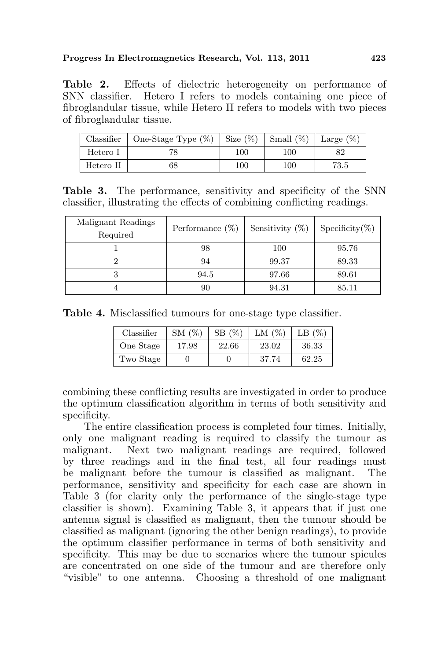Table 2. Effects of dielectric heterogeneity on performance of SNN classifier. Hetero I refers to models containing one piece of fibroglandular tissue, while Hetero II refers to models with two pieces of fibroglandular tissue.

| Classifier | One-Stage Type $(\%)$ | Size $(\%)$ | Small $(\%)$ | Large $(\%)$ |
|------------|-----------------------|-------------|--------------|--------------|
| Hetero I   | 78                    | 100         | 100          | 82           |
| Hetero II  | 68                    | 100         | 100          | 73.5         |

Table 3. The performance, sensitivity and specificity of the SNN classifier, illustrating the effects of combining conflicting readings.

| Malignant Readings<br>Required | Performance $(\%)$ | Sensitivity $(\%)$ | $Specificity(\%)$ |
|--------------------------------|--------------------|--------------------|-------------------|
|                                | 98                 | 100                | 95.76             |
|                                | 94                 | 99.37              | 89.33             |
|                                | 94.5               | 97.66              | 89.61             |
|                                | 90                 | 94.31              | 85.11             |

Table 4. Misclassified tumours for one-stage type classifier.

| Classifier | <b>SM</b><br>$\%$ | $SB(\%$ | $\frac{1}{2}$<br>LM | LB $(\%)$ |
|------------|-------------------|---------|---------------------|-----------|
| One Stage  | 17.98             | 22.66   | 23.02               | 36.33     |
| Two Stage  |                   |         | 37.74               | 62.25     |

combining these conflicting results are investigated in order to produce the optimum classification algorithm in terms of both sensitivity and specificity.

The entire classification process is completed four times. Initially, only one malignant reading is required to classify the tumour as malignant. Next two malignant readings are required, followed by three readings and in the final test, all four readings must be malignant before the tumour is classified as malignant. The performance, sensitivity and specificity for each case are shown in Table 3 (for clarity only the performance of the single-stage type classifier is shown). Examining Table 3, it appears that if just one antenna signal is classified as malignant, then the tumour should be classified as malignant (ignoring the other benign readings), to provide the optimum classifier performance in terms of both sensitivity and specificity. This may be due to scenarios where the tumour spicules are concentrated on one side of the tumour and are therefore only "visible" to one antenna. Choosing a threshold of one malignant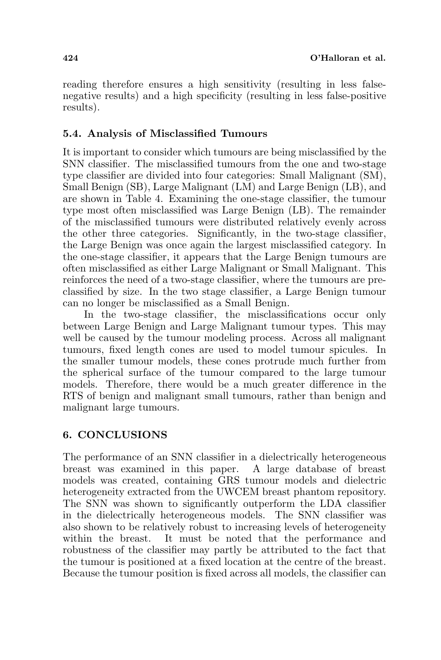reading therefore ensures a high sensitivity (resulting in less falsenegative results) and a high specificity (resulting in less false-positive results).

# 5.4. Analysis of Misclassified Tumours

It is important to consider which tumours are being misclassified by the SNN classifier. The misclassified tumours from the one and two-stage type classifier are divided into four categories: Small Malignant (SM), Small Benign (SB), Large Malignant (LM) and Large Benign (LB), and are shown in Table 4. Examining the one-stage classifier, the tumour type most often misclassified was Large Benign (LB). The remainder of the misclassified tumours were distributed relatively evenly across the other three categories. Significantly, in the two-stage classifier, the Large Benign was once again the largest misclassified category. In the one-stage classifier, it appears that the Large Benign tumours are often misclassified as either Large Malignant or Small Malignant. This reinforces the need of a two-stage classifier, where the tumours are preclassified by size. In the two stage classifier, a Large Benign tumour can no longer be misclassified as a Small Benign.

In the two-stage classifier, the misclassifications occur only between Large Benign and Large Malignant tumour types. This may well be caused by the tumour modeling process. Across all malignant tumours, fixed length cones are used to model tumour spicules. In the smaller tumour models, these cones protrude much further from the spherical surface of the tumour compared to the large tumour models. Therefore, there would be a much greater difference in the RTS of benign and malignant small tumours, rather than benign and malignant large tumours.

## 6. CONCLUSIONS

The performance of an SNN classifier in a dielectrically heterogeneous breast was examined in this paper. A large database of breast models was created, containing GRS tumour models and dielectric heterogeneity extracted from the UWCEM breast phantom repository. The SNN was shown to significantly outperform the LDA classifier in the dielectrically heterogeneous models. The SNN classifier was also shown to be relatively robust to increasing levels of heterogeneity within the breast. It must be noted that the performance and robustness of the classifier may partly be attributed to the fact that the tumour is positioned at a fixed location at the centre of the breast. Because the tumour position is fixed across all models, the classifier can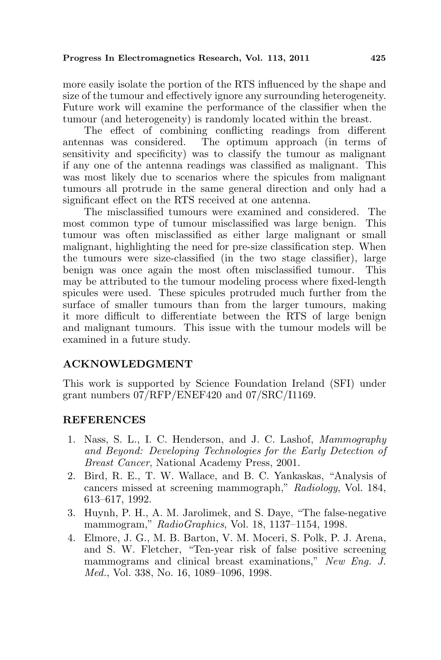more easily isolate the portion of the RTS influenced by the shape and size of the tumour and effectively ignore any surrounding heterogeneity. Future work will examine the performance of the classifier when the tumour (and heterogeneity) is randomly located within the breast.

The effect of combining conflicting readings from different antennas was considered. The optimum approach (in terms of sensitivity and specificity) was to classify the tumour as malignant if any one of the antenna readings was classified as malignant. This was most likely due to scenarios where the spicules from malignant tumours all protrude in the same general direction and only had a significant effect on the RTS received at one antenna.

The misclassified tumours were examined and considered. The most common type of tumour misclassified was large benign. This tumour was often misclassified as either large malignant or small malignant, highlighting the need for pre-size classification step. When the tumours were size-classified (in the two stage classifier), large benign was once again the most often misclassified tumour. This may be attributed to the tumour modeling process where fixed-length spicules were used. These spicules protruded much further from the surface of smaller tumours than from the larger tumours, making it more difficult to differentiate between the RTS of large benign and malignant tumours. This issue with the tumour models will be examined in a future study.

## ACKNOWLEDGMENT

This work is supported by Science Foundation Ireland (SFI) under grant numbers 07/RFP/ENEF420 and 07/SRC/I1169.

# REFERENCES

- 1. Nass, S. L., I. C. Henderson, and J. C. Lashof, Mammography and Beyond: Developing Technologies for the Early Detection of Breast Cancer, National Academy Press, 2001.
- 2. Bird, R. E., T. W. Wallace, and B. C. Yankaskas, "Analysis of cancers missed at screening mammograph," Radiology, Vol. 184, 613–617, 1992.
- 3. Huynh, P. H., A. M. Jarolimek, and S. Daye, "The false-negative mammogram," RadioGraphics, Vol. 18, 1137–1154, 1998.
- 4. Elmore, J. G., M. B. Barton, V. M. Moceri, S. Polk, P. J. Arena, and S. W. Fletcher, "Ten-year risk of false positive screening mammograms and clinical breast examinations," New Eng. J. Med., Vol. 338, No. 16, 1089–1096, 1998.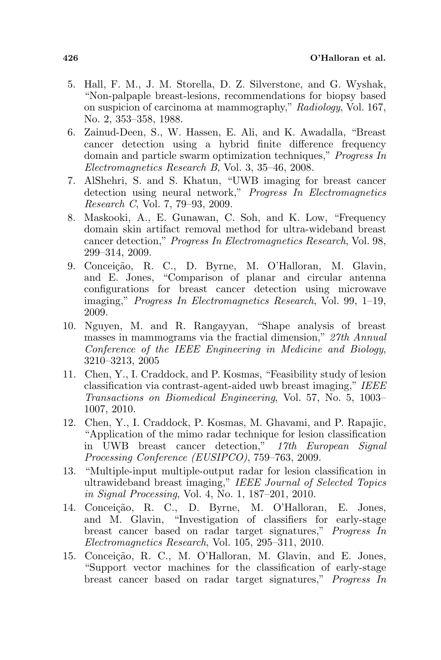- 5. Hall, F. M., J. M. Storella, D. Z. Silverstone, and G. Wyshak, "Non-palpaple breast-lesions, recommendations for biopsy based on suspicion of carcinoma at mammography," Radiology, Vol. 167, No. 2, 353–358, 1988.
- 6. Zainud-Deen, S., W. Hassen, E. Ali, and K. Awadalla, "Breast cancer detection using a hybrid finite difference frequency domain and particle swarm optimization techniques," Progress In Electromagnetics Research B, Vol. 3, 35–46, 2008.
- 7. AlShehri, S. and S. Khatun, "UWB imaging for breast cancer detection using neural network," Progress In Electromagnetics Research C, Vol. 7, 79–93, 2009.
- 8. Maskooki, A., E. Gunawan, C. Soh, and K. Low, "Frequency domain skin artifact removal method for ultra-wideband breast cancer detection," Progress In Electromagnetics Research, Vol. 98, 299–314, 2009.
- 9. Conceição, R. C., D. Byrne, M. O'Halloran, M. Glavin, and E. Jones, "Comparison of planar and circular antenna configurations for breast cancer detection using microwave imaging," Progress In Electromagnetics Research, Vol. 99, 1–19, 2009.
- 10. Nguyen, M. and R. Rangayyan, "Shape analysis of breast masses in mammograms via the fractial dimension," 27th Annual Conference of the IEEE Engineering in Medicine and Biology, 3210–3213, 2005
- 11. Chen, Y., I. Craddock, and P. Kosmas, "Feasibility study of lesion classification via contrast-agent-aided uwb breast imaging," IEEE Transactions on Biomedical Engineering, Vol. 57, No. 5, 1003– 1007, 2010.
- 12. Chen, Y., I. Craddock, P. Kosmas, M. Ghavami, and P. Rapajic, "Application of the mimo radar technique for lesion classification in UWB breast cancer detection," 17th European Signal Processing Conference (EUSIPCO), 759–763, 2009.
- 13. "Multiple-input multiple-output radar for lesion classification in ultrawideband breast imaging," IEEE Journal of Selected Topics in Signal Processing, Vol. 4, No. 1, 187–201, 2010.
- 14. Conceição, R. C., D. Byrne, M. O'Halloran, E. Jones. and M. Glavin, "Investigation of classifiers for early-stage breast cancer based on radar target signatures," Progress In Electromagnetics Research, Vol. 105, 295–311, 2010.
- 15. Conceição, R. C., M. O'Halloran, M. Glavin, and E. Jones, "Support vector machines for the classification of early-stage breast cancer based on radar target signatures," Progress In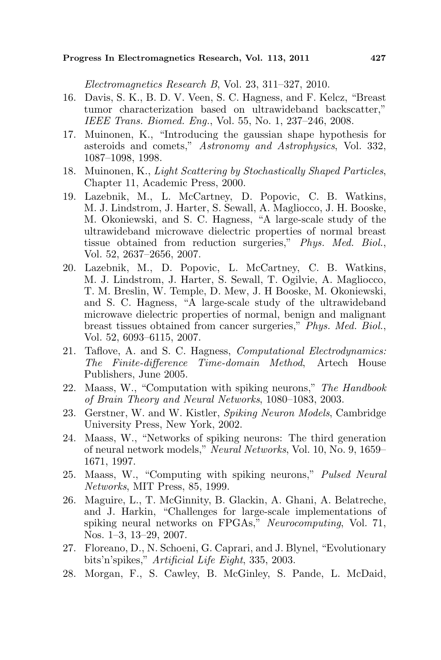Electromagnetics Research B, Vol. 23, 311–327, 2010.

- 16. Davis, S. K., B. D. V. Veen, S. C. Hagness, and F. Kelcz, "Breast tumor characterization based on ultrawideband backscatter," IEEE Trans. Biomed. Eng., Vol. 55, No. 1, 237–246, 2008.
- 17. Muinonen, K., "Introducing the gaussian shape hypothesis for asteroids and comets," Astronomy and Astrophysics, Vol. 332, 1087–1098, 1998.
- 18. Muinonen, K., Light Scattering by Stochastically Shaped Particles, Chapter 11, Academic Press, 2000.
- 19. Lazebnik, M., L. McCartney, D. Popovic, C. B. Watkins, M. J. Lindstrom, J. Harter, S. Sewall, A. Magliocco, J. H. Booske, M. Okoniewski, and S. C. Hagness, "A large-scale study of the ultrawideband microwave dielectric properties of normal breast tissue obtained from reduction surgeries," Phys. Med. Biol., Vol. 52, 2637–2656, 2007.
- 20. Lazebnik, M., D. Popovic, L. McCartney, C. B. Watkins, M. J. Lindstrom, J. Harter, S. Sewall, T. Ogilvie, A. Magliocco, T. M. Breslin, W. Temple, D. Mew, J. H Booske, M. Okoniewski, and S. C. Hagness, "A large-scale study of the ultrawideband microwave dielectric properties of normal, benign and malignant breast tissues obtained from cancer surgeries," Phys. Med. Biol., Vol. 52, 6093–6115, 2007.
- 21. Taflove, A. and S. C. Hagness, Computational Electrodynamics: The Finite-difference Time-domain Method, Artech House Publishers, June 2005.
- 22. Maass, W., "Computation with spiking neurons," The Handbook of Brain Theory and Neural Networks, 1080–1083, 2003.
- 23. Gerstner, W. and W. Kistler, Spiking Neuron Models, Cambridge University Press, New York, 2002.
- 24. Maass, W., "Networks of spiking neurons: The third generation of neural network models," Neural Networks, Vol. 10, No. 9, 1659– 1671, 1997.
- 25. Maass, W., "Computing with spiking neurons," Pulsed Neural Networks, MIT Press, 85, 1999.
- 26. Maguire, L., T. McGinnity, B. Glackin, A. Ghani, A. Belatreche, and J. Harkin, "Challenges for large-scale implementations of spiking neural networks on FPGAs," Neurocomputing, Vol. 71, Nos. 1–3, 13–29, 2007.
- 27. Floreano, D., N. Schoeni, G. Caprari, and J. Blynel, "Evolutionary bits'n'spikes," Artificial Life Eight, 335, 2003.
- 28. Morgan, F., S. Cawley, B. McGinley, S. Pande, L. McDaid,